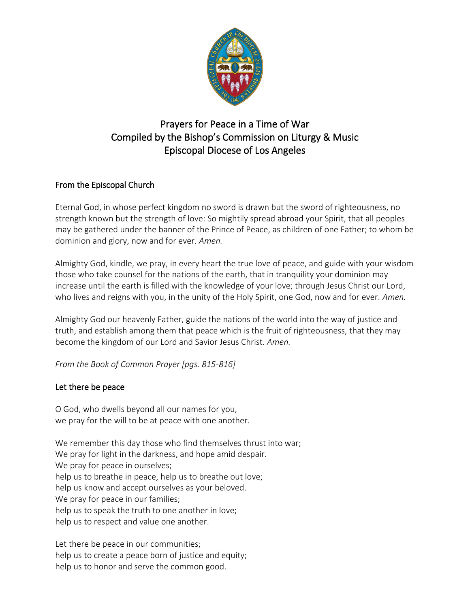

# Prayers for Peace in a Time of War Compiled by the Bishop's Commission on Liturgy & Music Episcopal Diocese of Los Angeles

## From the Episcopal Church

Eternal God, in whose perfect kingdom no sword is drawn but the sword of righteousness, no strength known but the strength of love: So mightily spread abroad your Spirit, that all peoples may be gathered under the banner of the Prince of Peace, as children of one Father; to whom be dominion and glory, now and for ever. *Amen.*

Almighty God, kindle, we pray, in every heart the true love of peace, and guide with your wisdom those who take counsel for the nations of the earth, that in tranquility your dominion may increase until the earth is filled with the knowledge of your love; through Jesus Christ our Lord, who lives and reigns with you, in the unity of the Holy Spirit, one God, now and for ever. *Amen.*

Almighty God our heavenly Father, guide the nations of the world into the way of justice and truth, and establish among them that peace which is the fruit of righteousness, that they may become the kingdom of our Lord and Savior Jesus Christ. *Amen.*

*From the Book of Common Prayer [pgs. 815-816]*

## Let there be peace

O God, who dwells beyond all our names for you, we pray for the will to be at peace with one another.

We remember this day those who find themselves thrust into war; We pray for light in the darkness, and hope amid despair. We pray for peace in ourselves; help us to breathe in peace, help us to breathe out love; help us know and accept ourselves as your beloved. We pray for peace in our families; help us to speak the truth to one another in love; help us to respect and value one another.

Let there be peace in our communities; help us to create a peace born of justice and equity; help us to honor and serve the common good.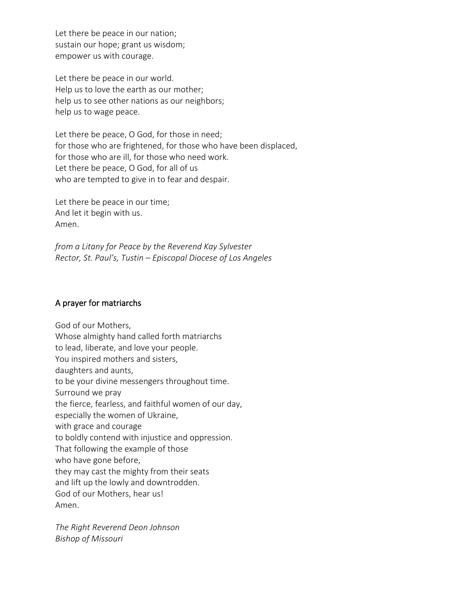Let there be peace in our nation; sustain our hope; grant us wisdom; empower us with courage.

Let there be peace in our world. Help us to love the earth as our mother; help us to see other nations as our neighbors; help us to wage peace.

Let there be peace, O God, for those in need; for those who are frightened, for those who have been displaced, for those who are ill, for those who need work. Let there be peace, O God, for all of us who are tempted to give in to fear and despair.

Let there be peace in our time; And let it begin with us. Amen.

*from a Litany for Peace by the Reverend Kay Sylvester Rector, St. Paul's, Tustin – Episcopal Diocese of Los Angeles*

#### A prayer for matriarchs

God of our Mothers, Whose almighty hand called forth matriarchs to lead, liberate, and love your people. You inspired mothers and sisters, daughters and aunts, to be your divine messengers throughout time. Surround we pray the fierce, fearless, and faithful women of our day, especially the women of Ukraine, with grace and courage to boldly contend with injustice and oppression. That following the example of those who have gone before, they may cast the mighty from their seats and lift up the lowly and downtrodden. God of our Mothers, hear us! Amen.

*The Right Reverend Deon Johnson Bishop of Missouri*